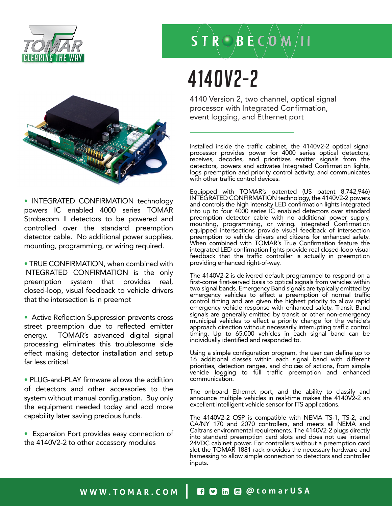



• INTEGRATED CONFIRMATION technology powers IC enabled 4000 series TOMAR Strobecom II detectors to be powered and controlled over the standard preemption detector cable. No additional power supplies, mounting, programming, or wiring required.

• TRUE CONFIRMATION, when combined with INTEGRATED CONFIRMATION is the only preemption system that provides real, closed-loop, visual feedback to vehicle drivers that the intersection is in preempt

• Active Reflection Suppression prevents cross street preemption due to reflected emitter energy. TOMAR's advanced digital signal processing eliminates this troublesome side effect making detector installation and setup far less critical.

• PLUG-and-PLAY firmware allows the addition of detectors and other accessories to the system without manual configuration. Buy only the equipment needed today and add more capability later saving precious funds.

• Expansion Port provides easy connection of the 4140V2-2 to other accessory modules

### $S$  T R  $\odot$  B E C  $\odot$  M  $/$  I I

# 4140V2-2

4140 Version 2, two channel, optical signal processor with Integrated Confirmation, event logging, and Ethernet port

Installed inside the traffic cabinet, the 4140V2-2 optical signal processor provides power for 4000 series optical detectors, receives, decodes, and prioritizes emitter signals from the detectors, powers and activates Integrated Confirmation lights, logs preemption and priority control activity, and communicates with other traffic control devices.

Equipped with TOMAR's patented (US patent 8,742,946) INTEGRATED CONFIRMATION technology, the 4140V2-2 powers and controls the high intensity LED confirmation lights integrated into up to four 4000 series IC enabled detectors over standard preemption detector cable with no additional power supply, mounting, programming, or wiring. Integrated Confirmation equipped intersections provide visual feedback of intersection preemption to vehicle drivers and citizens for enhanced safety. When combined with TOMAR's True Confirmation feature the integrated LED confirmation lights provide real closed-loop visual feedback that the traffic controller is actually in preemption providing enhanced right-of-way.

The 4140V2-2 is delivered default programmed to respond on a first-come first-served basis to optical signals from vehicles within two signal bands. Emergency Band signals are typically emitted by emergency vehicles to effect a preemption of normal traffic control timing and are given the highest priority to allow rapid emergency vehicle response with enhanced safety. Transit Band signals are generally emitted by transit or other non-emergency municipal vehicles to effect a priority change for the vehicle's approach direction without necessarily interrupting traffic control timing. Up to 65,000 vehicles in each signal band can be individually identified and responded to.

Using a simple configuration program, the user can define up to 16 additional classes within each signal band with different priorities, detection ranges, and choices of actions, from simple vehicle logging to full traffic preemption and enhanced communication.

The onboard Ethernet port, and the ability to classify and announce multiple vehicles in real-time makes the 4140V2-2 an excellent intelligent vehicle sensor for ITS applications.

The 4140V2-2 OSP is compatible with NEMA TS-1, TS-2, and CA/NY 170 and 2070 controllers, and meets all NEMA and Caltrans environmental requirements. The 4140V2-2 plugs directly into standard preemption card slots and does not use internal 24VDC cabinet power. For controllers without a preemption card slot the TOMAR 1881 rack provides the necessary hardware and harnessing to allow simple connection to detectors and controller inputs.